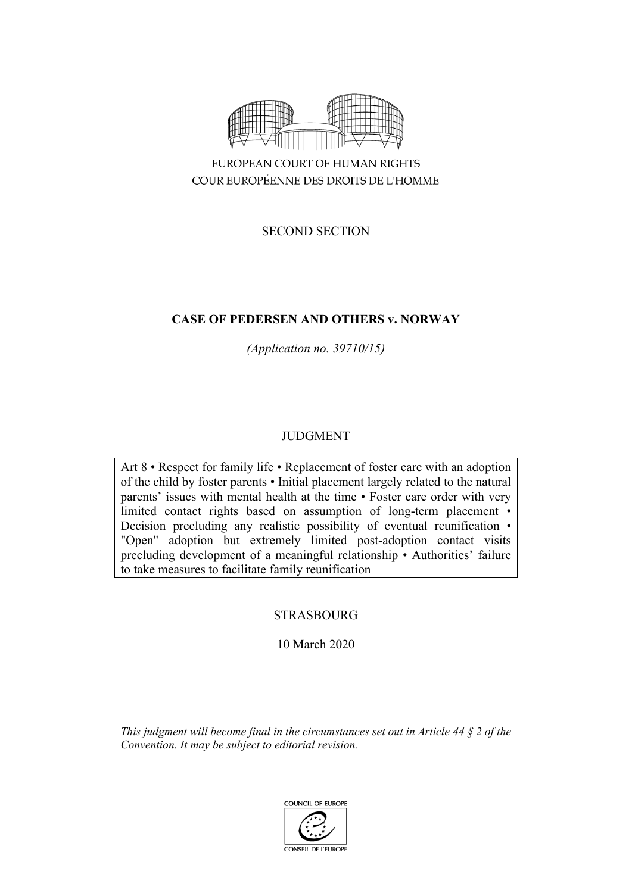

EUROPEAN COURT OF HUMAN RIGHTS COUR EUROPÉENNE DES DROITS DE L'HOMME

SECOND SECTION

# **CASE OF PEDERSEN AND OTHERS v. NORWAY**

*(Application no. 39710/15)*

# JUDGMENT

Art 8 • Respect for family life • Replacement of foster care with an adoption of the child by foster parents • Initial placement largely related to the natural parents' issues with mental health at the time • Foster care order with very limited contact rights based on assumption of long-term placement • Decision precluding any realistic possibility of eventual reunification • "Open" adoption but extremely limited post-adoption contact visits precluding development of a meaningful relationship • Authorities' failure to take measures to facilitate family reunification

# STRASBOURG

10 March 2020

*This judgment will become final in the circumstances set out in Article 44 § 2 of the Convention. It may be subject to editorial revision.*

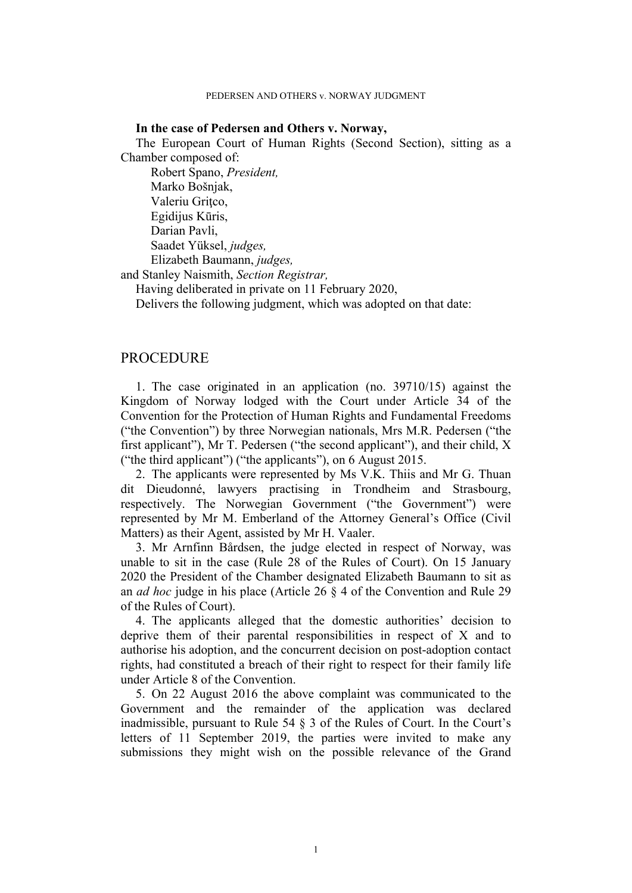### **In the case of Pedersen and Others v. Norway,**

The European Court of Human Rights (Second Section), sitting as a Chamber composed of:

Robert Spano, *President,* Marko Bošnjak, Valeriu Griţco, Egidijus Kūris, Darian Pavli, Saadet Yüksel, *judges,* Elizabeth Baumann, *judges,*

and Stanley Naismith, *Section Registrar,*

Having deliberated in private on 11 February 2020,

Delivers the following judgment, which was adopted on that date:

## **PROCEDURE**

1. The case originated in an application (no. 39710/15) against the Kingdom of Norway lodged with the Court under Article 34 of the Convention for the Protection of Human Rights and Fundamental Freedoms ("the Convention") by three Norwegian nationals, Mrs M.R. Pedersen ("the first applicant"), Mr T. Pedersen ("the second applicant"), and their child, X ("the third applicant") ("the applicants"), on 6 August 2015.

2. The applicants were represented by Ms V.K. Thiis and Mr G. Thuan dit Dieudonné, lawyers practising in Trondheim and Strasbourg, respectively. The Norwegian Government ("the Government") were represented by Mr M. Emberland of the Attorney General's Office (Civil Matters) as their Agent, assisted by Mr H. Vaaler.

3. Mr Arnfinn Bårdsen, the judge elected in respect of Norway, was unable to sit in the case (Rule 28 of the Rules of Court). On 15 January 2020 the President of the Chamber designated Elizabeth Baumann to sit as an *ad hoc* judge in his place (Article 26 § 4 of the Convention and Rule 29 of the Rules of Court).

4. The applicants alleged that the domestic authorities' decision to deprive them of their parental responsibilities in respect of X and to authorise his adoption, and the concurrent decision on post-adoption contact rights, had constituted a breach of their right to respect for their family life under Article 8 of the Convention.

5. On 22 August 2016 the above complaint was communicated to the Government and the remainder of the application was declared inadmissible, pursuant to Rule 54 § 3 of the Rules of Court. In the Court's letters of 11 September 2019, the parties were invited to make any submissions they might wish on the possible relevance of the Grand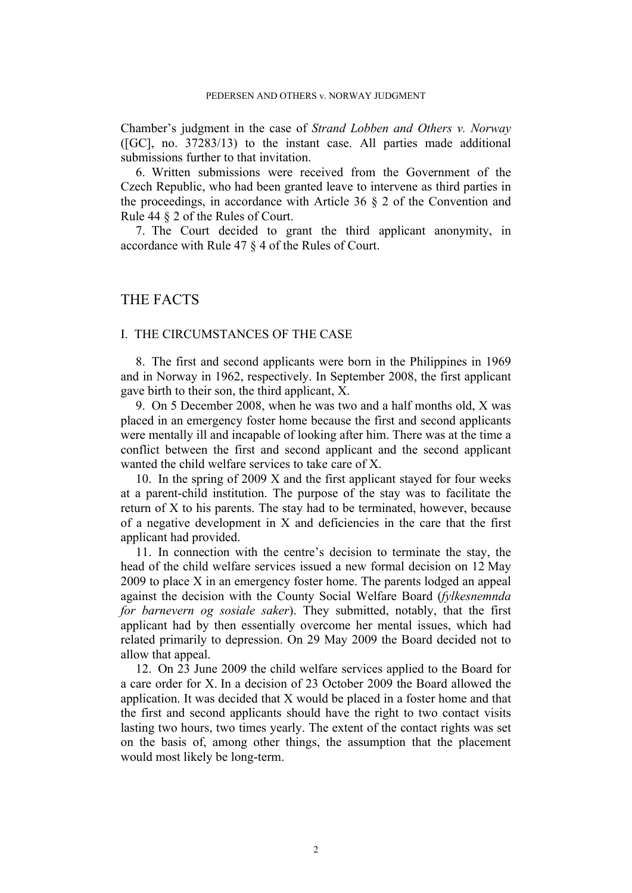Chamber's judgment in the case of *Strand Lobben and Others v. Norway* ([GC], no. 37283/13) to the instant case. All parties made additional submissions further to that invitation.

6. Written submissions were received from the Government of the Czech Republic, who had been granted leave to intervene as third parties in the proceedings, in accordance with Article 36 § 2 of the Convention and Rule 44 § 2 of the Rules of Court.

7. The Court decided to grant the third applicant anonymity, in accordance with Rule 47 § 4 of the Rules of Court.

# THE FACTS

## I. THE CIRCUMSTANCES OF THE CASE

8. The first and second applicants were born in the Philippines in 1969 and in Norway in 1962, respectively. In September 2008, the first applicant gave birth to their son, the third applicant, X.

9. On 5 December 2008, when he was two and a half months old, X was placed in an emergency foster home because the first and second applicants were mentally ill and incapable of looking after him. There was at the time a conflict between the first and second applicant and the second applicant wanted the child welfare services to take care of X.

10. In the spring of 2009 X and the first applicant stayed for four weeks at a parent-child institution. The purpose of the stay was to facilitate the return of X to his parents. The stay had to be terminated, however, because of a negative development in X and deficiencies in the care that the first applicant had provided.

11. In connection with the centre's decision to terminate the stay, the head of the child welfare services issued a new formal decision on 12 May 2009 to place X in an emergency foster home. The parents lodged an appeal against the decision with the County Social Welfare Board (*fylkesnemnda for barnevern og sosiale saker*). They submitted, notably, that the first applicant had by then essentially overcome her mental issues, which had related primarily to depression. On 29 May 2009 the Board decided not to allow that appeal.

12. On 23 June 2009 the child welfare services applied to the Board for a care order for X. In a decision of 23 October 2009 the Board allowed the application. It was decided that X would be placed in a foster home and that the first and second applicants should have the right to two contact visits lasting two hours, two times yearly. The extent of the contact rights was set on the basis of, among other things, the assumption that the placement would most likely be long-term.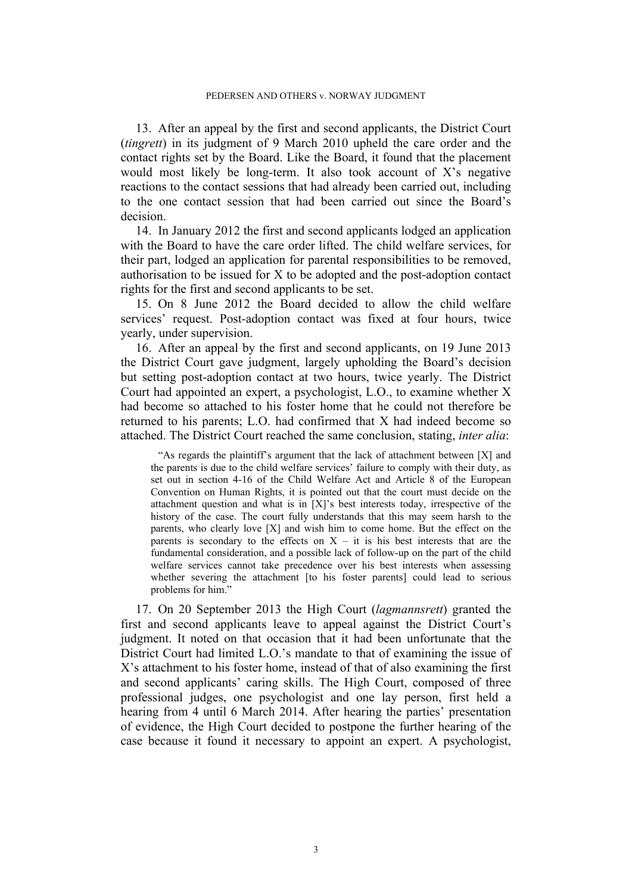13. After an appeal by the first and second applicants, the District Court (*tingrett*) in its judgment of 9 March 2010 upheld the care order and the contact rights set by the Board. Like the Board, it found that the placement would most likely be long-term. It also took account of X's negative reactions to the contact sessions that had already been carried out, including to the one contact session that had been carried out since the Board's decision.

14. In January 2012 the first and second applicants lodged an application with the Board to have the care order lifted. The child welfare services, for their part, lodged an application for parental responsibilities to be removed, authorisation to be issued for X to be adopted and the post-adoption contact rights for the first and second applicants to be set.

15. On 8 June 2012 the Board decided to allow the child welfare services' request. Post-adoption contact was fixed at four hours, twice yearly, under supervision.

16. After an appeal by the first and second applicants, on 19 June 2013 the District Court gave judgment, largely upholding the Board's decision but setting post-adoption contact at two hours, twice yearly. The District Court had appointed an expert, a psychologist, L.O., to examine whether X had become so attached to his foster home that he could not therefore be returned to his parents; L.O. had confirmed that X had indeed become so attached. The District Court reached the same conclusion, stating, *inter alia*:

"As regards the plaintiff's argument that the lack of attachment between [X] and the parents is due to the child welfare services' failure to comply with their duty, as set out in section 4-16 of the Child Welfare Act and Article 8 of the European Convention on Human Rights, it is pointed out that the court must decide on the attachment question and what is in [X]'s best interests today, irrespective of the history of the case. The court fully understands that this may seem harsh to the parents, who clearly love [X] and wish him to come home. But the effect on the parents is secondary to the effects on  $X - it$  is his best interests that are the fundamental consideration, and a possible lack of follow-up on the part of the child welfare services cannot take precedence over his best interests when assessing whether severing the attachment [to his foster parents] could lead to serious problems for him."

17. On 20 September 2013 the High Court (*lagmannsrett*) granted the first and second applicants leave to appeal against the District Court's judgment. It noted on that occasion that it had been unfortunate that the District Court had limited L.O.'s mandate to that of examining the issue of X's attachment to his foster home, instead of that of also examining the first and second applicants' caring skills. The High Court, composed of three professional judges, one psychologist and one lay person, first held a hearing from 4 until 6 March 2014. After hearing the parties' presentation of evidence, the High Court decided to postpone the further hearing of the case because it found it necessary to appoint an expert. A psychologist,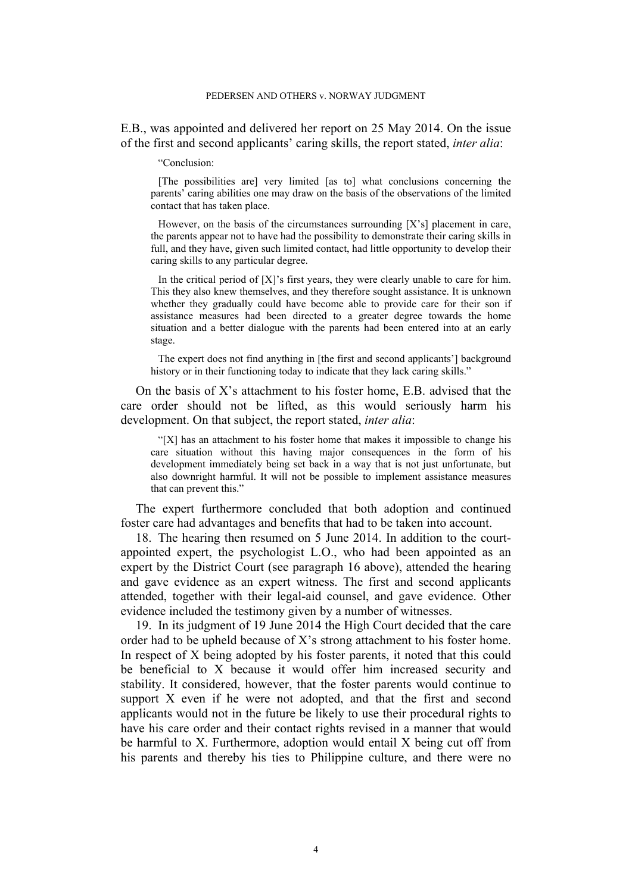E.B., was appointed and delivered her report on 25 May 2014. On the issue of the first and second applicants' caring skills, the report stated, *inter alia*:

"Conclusion:

[The possibilities are] very limited [as to] what conclusions concerning the parents' caring abilities one may draw on the basis of the observations of the limited contact that has taken place.

However, on the basis of the circumstances surrounding [X's] placement in care, the parents appear not to have had the possibility to demonstrate their caring skills in full, and they have, given such limited contact, had little opportunity to develop their caring skills to any particular degree.

In the critical period of [X]'s first years, they were clearly unable to care for him. This they also knew themselves, and they therefore sought assistance. It is unknown whether they gradually could have become able to provide care for their son if assistance measures had been directed to a greater degree towards the home situation and a better dialogue with the parents had been entered into at an early stage.

The expert does not find anything in [the first and second applicants'] background history or in their functioning today to indicate that they lack caring skills."

On the basis of X's attachment to his foster home, E.B. advised that the care order should not be lifted, as this would seriously harm his development. On that subject, the report stated, *inter alia*:

"[X] has an attachment to his foster home that makes it impossible to change his care situation without this having major consequences in the form of his development immediately being set back in a way that is not just unfortunate, but also downright harmful. It will not be possible to implement assistance measures that can prevent this."

The expert furthermore concluded that both adoption and continued foster care had advantages and benefits that had to be taken into account.

18. The hearing then resumed on 5 June 2014. In addition to the courtappointed expert, the psychologist L.O., who had been appointed as an expert by the District Court (see paragraph 16 above), attended the hearing and gave evidence as an expert witness. The first and second applicants attended, together with their legal-aid counsel, and gave evidence. Other evidence included the testimony given by a number of witnesses.

19. In its judgment of 19 June 2014 the High Court decided that the care order had to be upheld because of X's strong attachment to his foster home. In respect of X being adopted by his foster parents, it noted that this could be beneficial to X because it would offer him increased security and stability. It considered, however, that the foster parents would continue to support X even if he were not adopted, and that the first and second applicants would not in the future be likely to use their procedural rights to have his care order and their contact rights revised in a manner that would be harmful to X. Furthermore, adoption would entail X being cut off from his parents and thereby his ties to Philippine culture, and there were no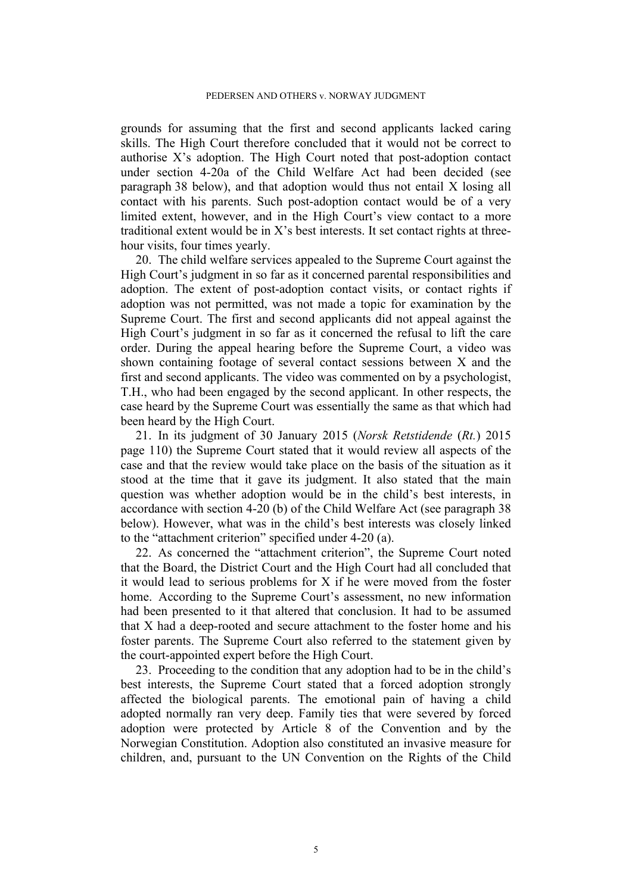grounds for assuming that the first and second applicants lacked caring skills. The High Court therefore concluded that it would not be correct to authorise X's adoption. The High Court noted that post-adoption contact under section 4-20a of the Child Welfare Act had been decided (see paragraph 38 below), and that adoption would thus not entail X losing all contact with his parents. Such post-adoption contact would be of a very limited extent, however, and in the High Court's view contact to a more traditional extent would be in X's best interests. It set contact rights at threehour visits, four times yearly.

20. The child welfare services appealed to the Supreme Court against the High Court's judgment in so far as it concerned parental responsibilities and adoption. The extent of post-adoption contact visits, or contact rights if adoption was not permitted, was not made a topic for examination by the Supreme Court. The first and second applicants did not appeal against the High Court's judgment in so far as it concerned the refusal to lift the care order. During the appeal hearing before the Supreme Court, a video was shown containing footage of several contact sessions between X and the first and second applicants. The video was commented on by a psychologist, T.H., who had been engaged by the second applicant. In other respects, the case heard by the Supreme Court was essentially the same as that which had been heard by the High Court.

21. In its judgment of 30 January 2015 (*Norsk Retstidende* (*Rt.*) 2015 page 110) the Supreme Court stated that it would review all aspects of the case and that the review would take place on the basis of the situation as it stood at the time that it gave its judgment. It also stated that the main question was whether adoption would be in the child's best interests, in accordance with section 4-20 (b) of the Child Welfare Act (see paragraph 38 below). However, what was in the child's best interests was closely linked to the "attachment criterion" specified under 4-20 (a).

22. As concerned the "attachment criterion", the Supreme Court noted that the Board, the District Court and the High Court had all concluded that it would lead to serious problems for X if he were moved from the foster home. According to the Supreme Court's assessment, no new information had been presented to it that altered that conclusion. It had to be assumed that X had a deep-rooted and secure attachment to the foster home and his foster parents. The Supreme Court also referred to the statement given by the court-appointed expert before the High Court.

23. Proceeding to the condition that any adoption had to be in the child's best interests, the Supreme Court stated that a forced adoption strongly affected the biological parents. The emotional pain of having a child adopted normally ran very deep. Family ties that were severed by forced adoption were protected by Article 8 of the Convention and by the Norwegian Constitution. Adoption also constituted an invasive measure for children, and, pursuant to the UN Convention on the Rights of the Child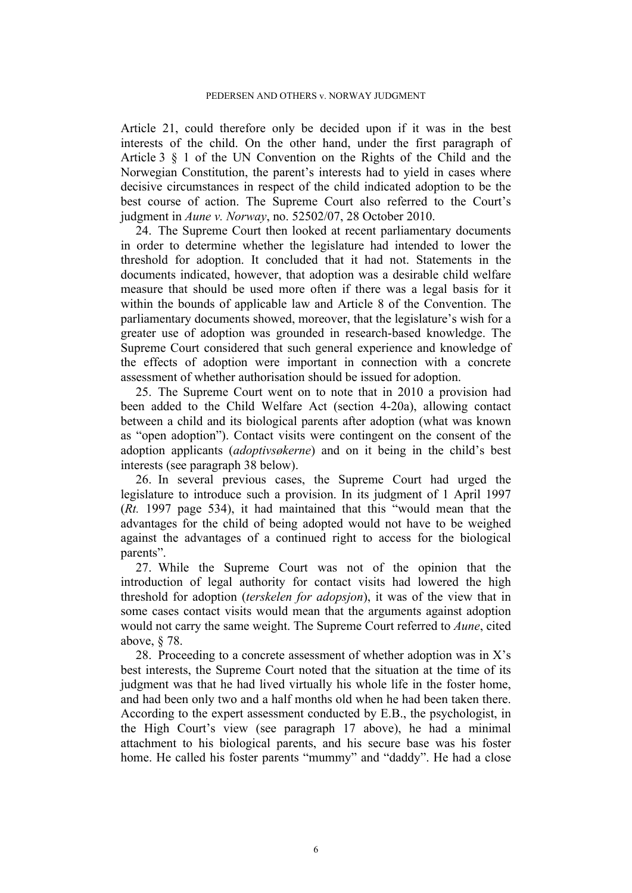Article 21, could therefore only be decided upon if it was in the best interests of the child. On the other hand, under the first paragraph of Article 3 § 1 of the UN Convention on the Rights of the Child and the Norwegian Constitution, the parent's interests had to yield in cases where decisive circumstances in respect of the child indicated adoption to be the best course of action. The Supreme Court also referred to the Court's judgment in *Aune v. Norway*, no. 52502/07, 28 October 2010.

24. The Supreme Court then looked at recent parliamentary documents in order to determine whether the legislature had intended to lower the threshold for adoption. It concluded that it had not. Statements in the documents indicated, however, that adoption was a desirable child welfare measure that should be used more often if there was a legal basis for it within the bounds of applicable law and Article 8 of the Convention. The parliamentary documents showed, moreover, that the legislature's wish for a greater use of adoption was grounded in research-based knowledge. The Supreme Court considered that such general experience and knowledge of the effects of adoption were important in connection with a concrete assessment of whether authorisation should be issued for adoption.

25. The Supreme Court went on to note that in 2010 a provision had been added to the Child Welfare Act (section 4-20a), allowing contact between a child and its biological parents after adoption (what was known as "open adoption"). Contact visits were contingent on the consent of the adoption applicants (*adoptivsøkerne*) and on it being in the child's best interests (see paragraph 38 below).

26. In several previous cases, the Supreme Court had urged the legislature to introduce such a provision. In its judgment of 1 April 1997 (*Rt.* 1997 page 534), it had maintained that this "would mean that the advantages for the child of being adopted would not have to be weighed against the advantages of a continued right to access for the biological parents".

27. While the Supreme Court was not of the opinion that the introduction of legal authority for contact visits had lowered the high threshold for adoption (*terskelen for adopsjon*), it was of the view that in some cases contact visits would mean that the arguments against adoption would not carry the same weight. The Supreme Court referred to *Aune*, cited above, § 78.

28. Proceeding to a concrete assessment of whether adoption was in  $X$ 's best interests, the Supreme Court noted that the situation at the time of its judgment was that he had lived virtually his whole life in the foster home, and had been only two and a half months old when he had been taken there. According to the expert assessment conducted by E.B., the psychologist, in the High Court's view (see paragraph 17 above), he had a minimal attachment to his biological parents, and his secure base was his foster home. He called his foster parents "mummy" and "daddy". He had a close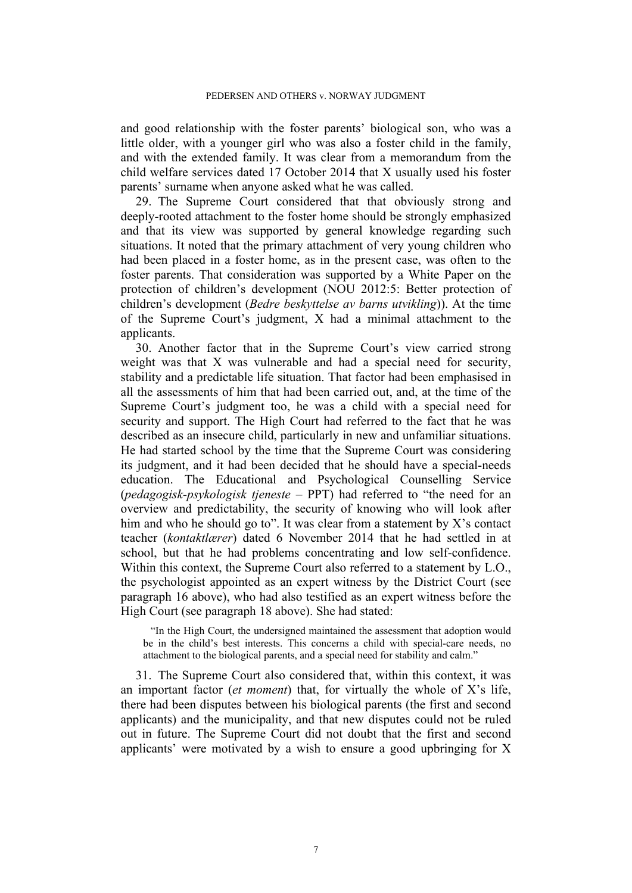and good relationship with the foster parents' biological son, who was a little older, with a younger girl who was also a foster child in the family, and with the extended family. It was clear from a memorandum from the child welfare services dated 17 October 2014 that X usually used his foster parents' surname when anyone asked what he was called.

29. The Supreme Court considered that that obviously strong and deeply-rooted attachment to the foster home should be strongly emphasized and that its view was supported by general knowledge regarding such situations. It noted that the primary attachment of very young children who had been placed in a foster home, as in the present case, was often to the foster parents. That consideration was supported by a White Paper on the protection of children's development (NOU 2012:5: Better protection of children's development (*Bedre beskyttelse av barns utvikling*)). At the time of the Supreme Court's judgment, X had a minimal attachment to the applicants.

30. Another factor that in the Supreme Court's view carried strong weight was that X was vulnerable and had a special need for security, stability and a predictable life situation. That factor had been emphasised in all the assessments of him that had been carried out, and, at the time of the Supreme Court's judgment too, he was a child with a special need for security and support. The High Court had referred to the fact that he was described as an insecure child, particularly in new and unfamiliar situations. He had started school by the time that the Supreme Court was considering its judgment, and it had been decided that he should have a special-needs education. The Educational and Psychological Counselling Service (*pedagogisk-psykologisk tjeneste* – PPT) had referred to "the need for an overview and predictability, the security of knowing who will look after him and who he should go to". It was clear from a statement by X's contact teacher (*kontaktlærer*) dated 6 November 2014 that he had settled in at school, but that he had problems concentrating and low self-confidence. Within this context, the Supreme Court also referred to a statement by L.O., the psychologist appointed as an expert witness by the District Court (see paragraph 16 above), who had also testified as an expert witness before the High Court (see paragraph 18 above). She had stated:

"In the High Court, the undersigned maintained the assessment that adoption would be in the child's best interests. This concerns a child with special-care needs, no attachment to the biological parents, and a special need for stability and calm."

31. The Supreme Court also considered that, within this context, it was an important factor (*et moment*) that, for virtually the whole of X's life, there had been disputes between his biological parents (the first and second applicants) and the municipality, and that new disputes could not be ruled out in future. The Supreme Court did not doubt that the first and second applicants' were motivated by a wish to ensure a good upbringing for X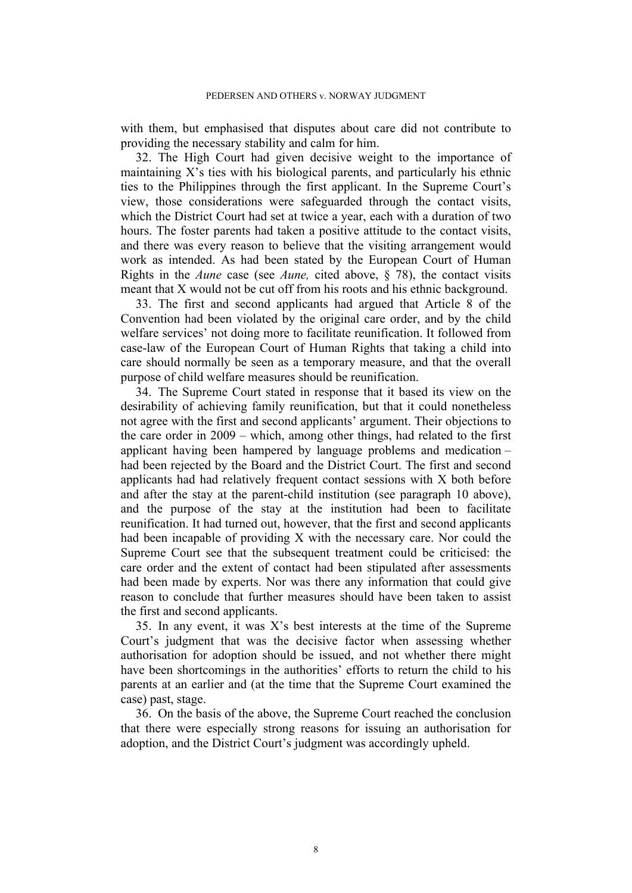with them, but emphasised that disputes about care did not contribute to providing the necessary stability and calm for him.

32. The High Court had given decisive weight to the importance of maintaining X's ties with his biological parents, and particularly his ethnic ties to the Philippines through the first applicant. In the Supreme Court's view, those considerations were safeguarded through the contact visits, which the District Court had set at twice a year, each with a duration of two hours. The foster parents had taken a positive attitude to the contact visits, and there was every reason to believe that the visiting arrangement would work as intended. As had been stated by the European Court of Human Rights in the *Aune* case (see *Aune,* cited above, § 78), the contact visits meant that X would not be cut off from his roots and his ethnic background.

33. The first and second applicants had argued that Article 8 of the Convention had been violated by the original care order, and by the child welfare services' not doing more to facilitate reunification. It followed from case-law of the European Court of Human Rights that taking a child into care should normally be seen as a temporary measure, and that the overall purpose of child welfare measures should be reunification.

34. The Supreme Court stated in response that it based its view on the desirability of achieving family reunification, but that it could nonetheless not agree with the first and second applicants' argument. Their objections to the care order in 2009 – which, among other things, had related to the first applicant having been hampered by language problems and medication – had been rejected by the Board and the District Court. The first and second applicants had had relatively frequent contact sessions with X both before and after the stay at the parent-child institution (see paragraph 10 above), and the purpose of the stay at the institution had been to facilitate reunification. It had turned out, however, that the first and second applicants had been incapable of providing X with the necessary care. Nor could the Supreme Court see that the subsequent treatment could be criticised: the care order and the extent of contact had been stipulated after assessments had been made by experts. Nor was there any information that could give reason to conclude that further measures should have been taken to assist the first and second applicants.

35. In any event, it was X's best interests at the time of the Supreme Court's judgment that was the decisive factor when assessing whether authorisation for adoption should be issued, and not whether there might have been shortcomings in the authorities' efforts to return the child to his parents at an earlier and (at the time that the Supreme Court examined the case) past, stage.

36. On the basis of the above, the Supreme Court reached the conclusion that there were especially strong reasons for issuing an authorisation for adoption, and the District Court's judgment was accordingly upheld.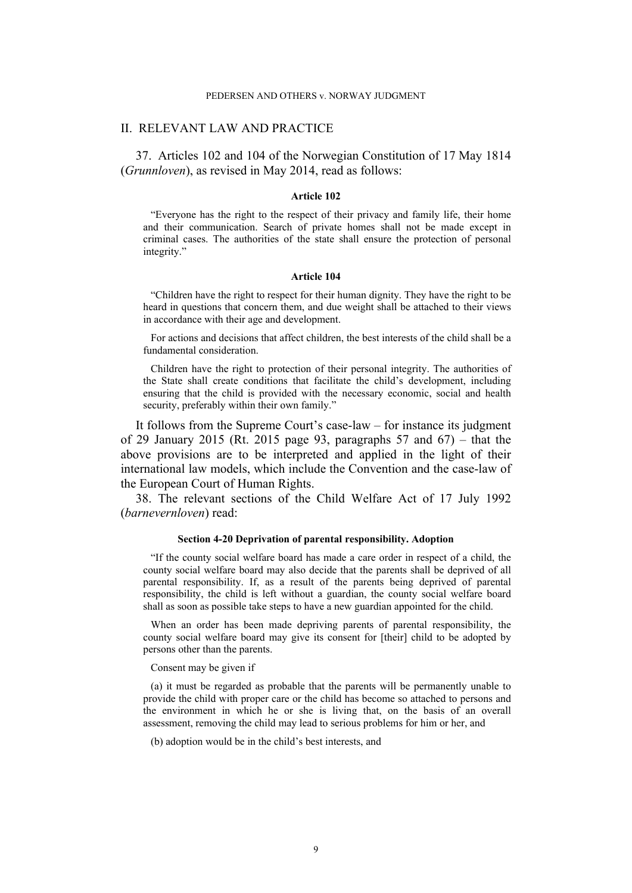#### PEDERSEN AND OTHERS v. NORWAY JUDGMENT

### II. RELEVANT LAW AND PRACTICE

37. Articles 102 and 104 of the Norwegian Constitution of 17 May 1814 (*Grunnloven*), as revised in May 2014, read as follows:

#### **Article 102**

"Everyone has the right to the respect of their privacy and family life, their home and their communication. Search of private homes shall not be made except in criminal cases. The authorities of the state shall ensure the protection of personal integrity."

#### **Article 104**

"Children have the right to respect for their human dignity. They have the right to be heard in questions that concern them, and due weight shall be attached to their views in accordance with their age and development.

For actions and decisions that affect children, the best interests of the child shall be a fundamental consideration.

Children have the right to protection of their personal integrity. The authorities of the State shall create conditions that facilitate the child's development, including ensuring that the child is provided with the necessary economic, social and health security, preferably within their own family."

It follows from the Supreme Court's case-law – for instance its judgment of 29 January 2015 (Rt. 2015 page 93, paragraphs  $57$  and  $67$ ) – that the above provisions are to be interpreted and applied in the light of their international law models, which include the Convention and the case-law of the European Court of Human Rights.

38. The relevant sections of the Child Welfare Act of 17 July 1992 (*barnevernloven*) read:

#### **Section 4-20 Deprivation of parental responsibility. Adoption**

"If the county social welfare board has made a care order in respect of a child, the county social welfare board may also decide that the parents shall be deprived of all parental responsibility. If, as a result of the parents being deprived of parental responsibility, the child is left without a guardian, the county social welfare board shall as soon as possible take steps to have a new guardian appointed for the child.

When an order has been made depriving parents of parental responsibility, the county social welfare board may give its consent for [their] child to be adopted by persons other than the parents.

#### Consent may be given if

(a) it must be regarded as probable that the parents will be permanently unable to provide the child with proper care or the child has become so attached to persons and the environment in which he or she is living that, on the basis of an overall assessment, removing the child may lead to serious problems for him or her, and

(b) adoption would be in the child's best interests, and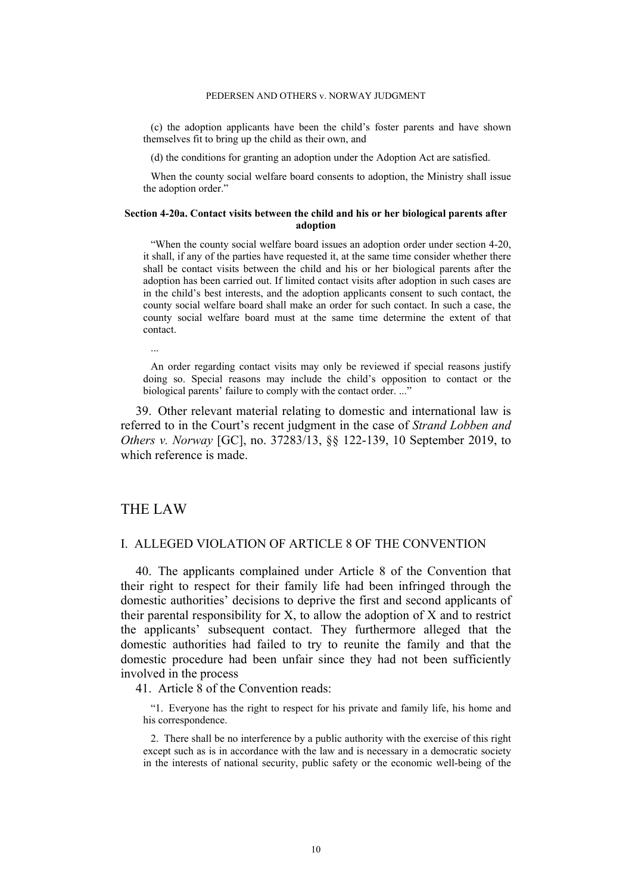(c) the adoption applicants have been the child's foster parents and have shown themselves fit to bring up the child as their own, and

(d) the conditions for granting an adoption under the Adoption Act are satisfied.

When the county social welfare board consents to adoption, the Ministry shall issue the adoption order."

#### **Section 4-20a. Contact visits between the child and his or her biological parents after adoption**

"When the county social welfare board issues an adoption order under section 4-20, it shall, if any of the parties have requested it, at the same time consider whether there shall be contact visits between the child and his or her biological parents after the adoption has been carried out. If limited contact visits after adoption in such cases are in the child's best interests, and the adoption applicants consent to such contact, the county social welfare board shall make an order for such contact. In such a case, the county social welfare board must at the same time determine the extent of that contact.

...

An order regarding contact visits may only be reviewed if special reasons justify doing so. Special reasons may include the child's opposition to contact or the biological parents' failure to comply with the contact order. ..."

39. Other relevant material relating to domestic and international law is referred to in the Court's recent judgment in the case of *Strand Lobben and Others v. Norway* [GC], no. 37283/13, §§ 122-139, 10 September 2019, to which reference is made.

# THE LAW

## I. ALLEGED VIOLATION OF ARTICLE 8 OF THE CONVENTION

40. The applicants complained under Article 8 of the Convention that their right to respect for their family life had been infringed through the domestic authorities' decisions to deprive the first and second applicants of their parental responsibility for X, to allow the adoption of X and to restrict the applicants' subsequent contact. They furthermore alleged that the domestic authorities had failed to try to reunite the family and that the domestic procedure had been unfair since they had not been sufficiently involved in the process

41. Article 8 of the Convention reads:

"1. Everyone has the right to respect for his private and family life, his home and his correspondence.

2. There shall be no interference by a public authority with the exercise of this right except such as is in accordance with the law and is necessary in a democratic society in the interests of national security, public safety or the economic well-being of the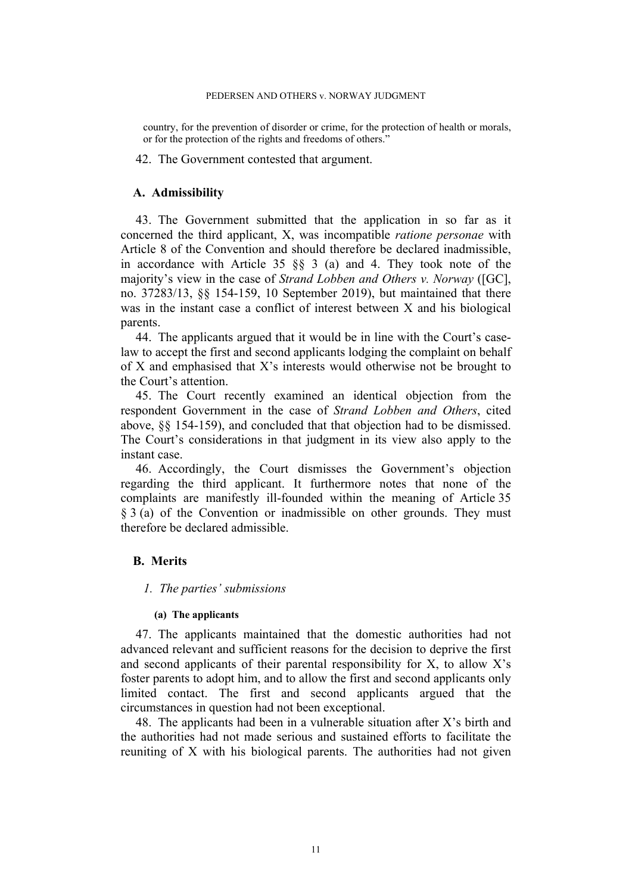#### PEDERSEN AND OTHERS v. NORWAY JUDGMENT

country, for the prevention of disorder or crime, for the protection of health or morals, or for the protection of the rights and freedoms of others."

42. The Government contested that argument.

### **A. Admissibility**

43. The Government submitted that the application in so far as it concerned the third applicant, X, was incompatible *ratione personae* with Article 8 of the Convention and should therefore be declared inadmissible, in accordance with Article 35 §§ 3 (a) and 4. They took note of the majority's view in the case of *Strand Lobben and Others v. Norway* ([GC], no. 37283/13, §§ 154-159, 10 September 2019), but maintained that there was in the instant case a conflict of interest between X and his biological parents.

44. The applicants argued that it would be in line with the Court's caselaw to accept the first and second applicants lodging the complaint on behalf of X and emphasised that X's interests would otherwise not be brought to the Court's attention.

45. The Court recently examined an identical objection from the respondent Government in the case of *Strand Lobben and Others*, cited above, §§ 154-159), and concluded that that objection had to be dismissed. The Court's considerations in that judgment in its view also apply to the instant case.

46. Accordingly, the Court dismisses the Government's objection regarding the third applicant. It furthermore notes that none of the complaints are manifestly ill-founded within the meaning of Article 35 § 3 (a) of the Convention or inadmissible on other grounds. They must therefore be declared admissible.

### **B. Merits**

### *1. The parties' submissions*

### **(a) The applicants**

47. The applicants maintained that the domestic authorities had not advanced relevant and sufficient reasons for the decision to deprive the first and second applicants of their parental responsibility for X, to allow X's foster parents to adopt him, and to allow the first and second applicants only limited contact. The first and second applicants argued that the circumstances in question had not been exceptional.

48. The applicants had been in a vulnerable situation after X's birth and the authorities had not made serious and sustained efforts to facilitate the reuniting of X with his biological parents. The authorities had not given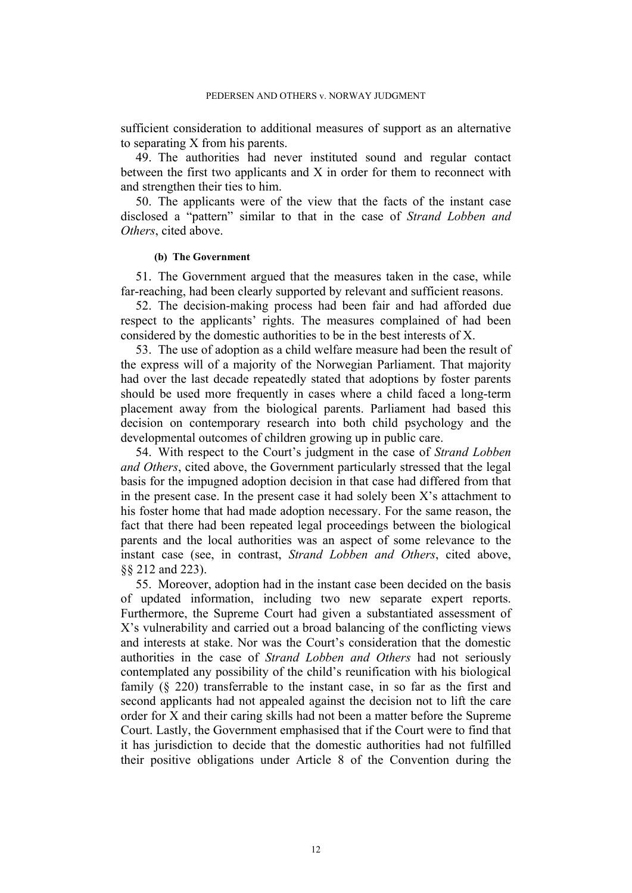sufficient consideration to additional measures of support as an alternative to separating X from his parents.

49. The authorities had never instituted sound and regular contact between the first two applicants and X in order for them to reconnect with and strengthen their ties to him.

50. The applicants were of the view that the facts of the instant case disclosed a "pattern" similar to that in the case of *Strand Lobben and Others*, cited above.

#### **(b) The Government**

51. The Government argued that the measures taken in the case, while far-reaching, had been clearly supported by relevant and sufficient reasons.

52. The decision-making process had been fair and had afforded due respect to the applicants' rights. The measures complained of had been considered by the domestic authorities to be in the best interests of X.

53. The use of adoption as a child welfare measure had been the result of the express will of a majority of the Norwegian Parliament. That majority had over the last decade repeatedly stated that adoptions by foster parents should be used more frequently in cases where a child faced a long-term placement away from the biological parents. Parliament had based this decision on contemporary research into both child psychology and the developmental outcomes of children growing up in public care.

54. With respect to the Court's judgment in the case of *Strand Lobben and Others*, cited above, the Government particularly stressed that the legal basis for the impugned adoption decision in that case had differed from that in the present case. In the present case it had solely been X's attachment to his foster home that had made adoption necessary. For the same reason, the fact that there had been repeated legal proceedings between the biological parents and the local authorities was an aspect of some relevance to the instant case (see, in contrast, *Strand Lobben and Others*, cited above, §§ 212 and 223).

55. Moreover, adoption had in the instant case been decided on the basis of updated information, including two new separate expert reports. Furthermore, the Supreme Court had given a substantiated assessment of X's vulnerability and carried out a broad balancing of the conflicting views and interests at stake. Nor was the Court's consideration that the domestic authorities in the case of *Strand Lobben and Others* had not seriously contemplated any possibility of the child's reunification with his biological family (§ 220) transferrable to the instant case, in so far as the first and second applicants had not appealed against the decision not to lift the care order for X and their caring skills had not been a matter before the Supreme Court. Lastly, the Government emphasised that if the Court were to find that it has jurisdiction to decide that the domestic authorities had not fulfilled their positive obligations under Article 8 of the Convention during the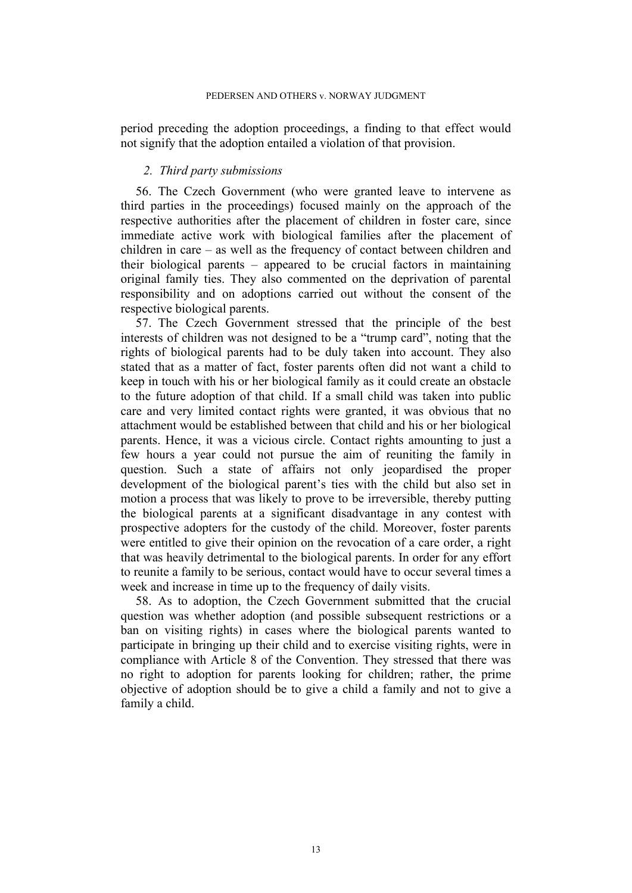period preceding the adoption proceedings, a finding to that effect would not signify that the adoption entailed a violation of that provision.

## *2. Third party submissions*

56. The Czech Government (who were granted leave to intervene as third parties in the proceedings) focused mainly on the approach of the respective authorities after the placement of children in foster care, since immediate active work with biological families after the placement of children in care – as well as the frequency of contact between children and their biological parents – appeared to be crucial factors in maintaining original family ties. They also commented on the deprivation of parental responsibility and on adoptions carried out without the consent of the respective biological parents.

57. The Czech Government stressed that the principle of the best interests of children was not designed to be a "trump card", noting that the rights of biological parents had to be duly taken into account. They also stated that as a matter of fact, foster parents often did not want a child to keep in touch with his or her biological family as it could create an obstacle to the future adoption of that child. If a small child was taken into public care and very limited contact rights were granted, it was obvious that no attachment would be established between that child and his or her biological parents. Hence, it was a vicious circle. Contact rights amounting to just a few hours a year could not pursue the aim of reuniting the family in question. Such a state of affairs not only jeopardised the proper development of the biological parent's ties with the child but also set in motion a process that was likely to prove to be irreversible, thereby putting the biological parents at a significant disadvantage in any contest with prospective adopters for the custody of the child. Moreover, foster parents were entitled to give their opinion on the revocation of a care order, a right that was heavily detrimental to the biological parents. In order for any effort to reunite a family to be serious, contact would have to occur several times a week and increase in time up to the frequency of daily visits.

58. As to adoption, the Czech Government submitted that the crucial question was whether adoption (and possible subsequent restrictions or a ban on visiting rights) in cases where the biological parents wanted to participate in bringing up their child and to exercise visiting rights, were in compliance with Article 8 of the Convention. They stressed that there was no right to adoption for parents looking for children; rather, the prime objective of adoption should be to give a child a family and not to give a family a child.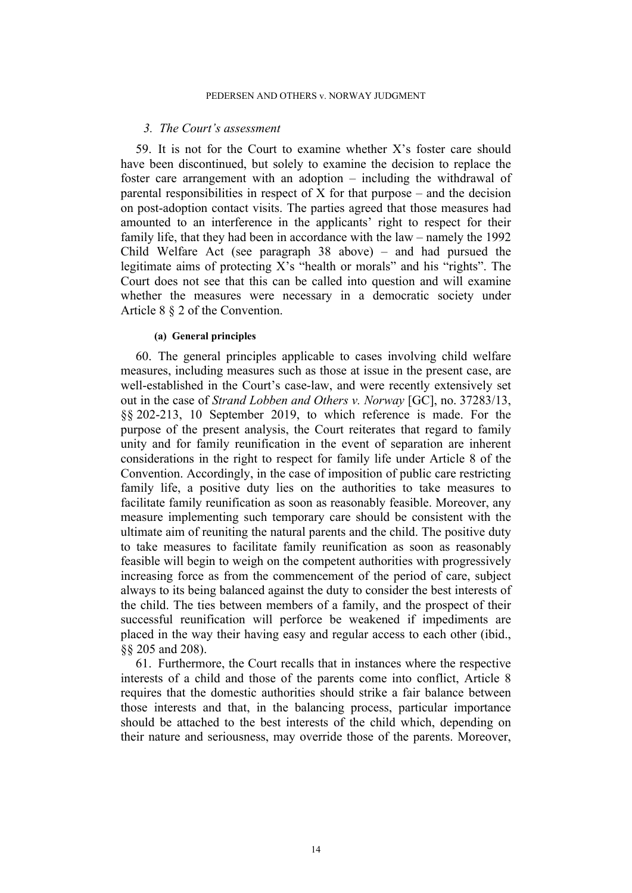### *3. The Court's assessment*

59. It is not for the Court to examine whether X's foster care should have been discontinued, but solely to examine the decision to replace the foster care arrangement with an adoption – including the withdrawal of parental responsibilities in respect of  $\overline{X}$  for that purpose – and the decision on post-adoption contact visits. The parties agreed that those measures had amounted to an interference in the applicants' right to respect for their family life, that they had been in accordance with the law – namely the 1992 Child Welfare Act (see paragraph 38 above) – and had pursued the legitimate aims of protecting X's "health or morals" and his "rights". The Court does not see that this can be called into question and will examine whether the measures were necessary in a democratic society under Article 8 § 2 of the Convention.

### **(a) General principles**

60. The general principles applicable to cases involving child welfare measures, including measures such as those at issue in the present case, are well-established in the Court's case-law, and were recently extensively set out in the case of *Strand Lobben and Others v. Norway* [GC], no. 37283/13, §§ 202-213, 10 September 2019, to which reference is made. For the purpose of the present analysis, the Court reiterates that regard to family unity and for family reunification in the event of separation are inherent considerations in the right to respect for family life under Article 8 of the Convention. Accordingly, in the case of imposition of public care restricting family life, a positive duty lies on the authorities to take measures to facilitate family reunification as soon as reasonably feasible. Moreover, any measure implementing such temporary care should be consistent with the ultimate aim of reuniting the natural parents and the child. The positive duty to take measures to facilitate family reunification as soon as reasonably feasible will begin to weigh on the competent authorities with progressively increasing force as from the commencement of the period of care, subject always to its being balanced against the duty to consider the best interests of the child. The ties between members of a family, and the prospect of their successful reunification will perforce be weakened if impediments are placed in the way their having easy and regular access to each other (ibid., §§ 205 and 208).

61. Furthermore, the Court recalls that in instances where the respective interests of a child and those of the parents come into conflict, Article 8 requires that the domestic authorities should strike a fair balance between those interests and that, in the balancing process, particular importance should be attached to the best interests of the child which, depending on their nature and seriousness, may override those of the parents. Moreover,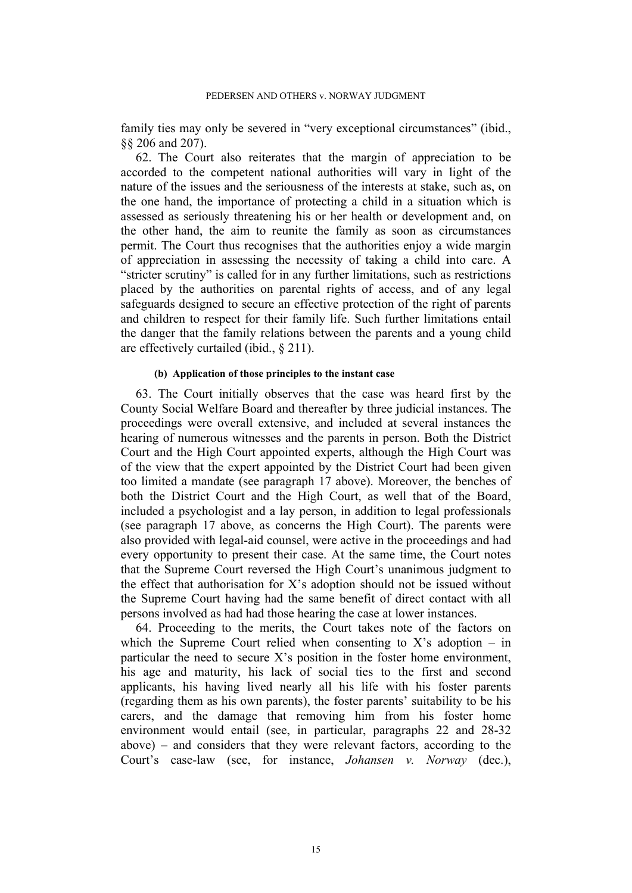family ties may only be severed in "very exceptional circumstances" (ibid., §§ 206 and 207).

62. The Court also reiterates that the margin of appreciation to be accorded to the competent national authorities will vary in light of the nature of the issues and the seriousness of the interests at stake, such as, on the one hand, the importance of protecting a child in a situation which is assessed as seriously threatening his or her health or development and, on the other hand, the aim to reunite the family as soon as circumstances permit. The Court thus recognises that the authorities enjoy a wide margin of appreciation in assessing the necessity of taking a child into care. A "stricter scrutiny" is called for in any further limitations, such as restrictions placed by the authorities on parental rights of access, and of any legal safeguards designed to secure an effective protection of the right of parents and children to respect for their family life. Such further limitations entail the danger that the family relations between the parents and a young child are effectively curtailed (ibid., § 211).

#### **(b) Application of those principles to the instant case**

63. The Court initially observes that the case was heard first by the County Social Welfare Board and thereafter by three judicial instances. The proceedings were overall extensive, and included at several instances the hearing of numerous witnesses and the parents in person. Both the District Court and the High Court appointed experts, although the High Court was of the view that the expert appointed by the District Court had been given too limited a mandate (see paragraph 17 above). Moreover, the benches of both the District Court and the High Court, as well that of the Board, included a psychologist and a lay person, in addition to legal professionals (see paragraph 17 above, as concerns the High Court). The parents were also provided with legal-aid counsel, were active in the proceedings and had every opportunity to present their case. At the same time, the Court notes that the Supreme Court reversed the High Court's unanimous judgment to the effect that authorisation for X's adoption should not be issued without the Supreme Court having had the same benefit of direct contact with all persons involved as had had those hearing the case at lower instances.

64. Proceeding to the merits, the Court takes note of the factors on which the Supreme Court relied when consenting to  $X$ 's adoption – in particular the need to secure X's position in the foster home environment, his age and maturity, his lack of social ties to the first and second applicants, his having lived nearly all his life with his foster parents (regarding them as his own parents), the foster parents' suitability to be his carers, and the damage that removing him from his foster home environment would entail (see, in particular, paragraphs 22 and 28-32 above) – and considers that they were relevant factors, according to the Court's case-law (see, for instance, *Johansen v. Norway* (dec.),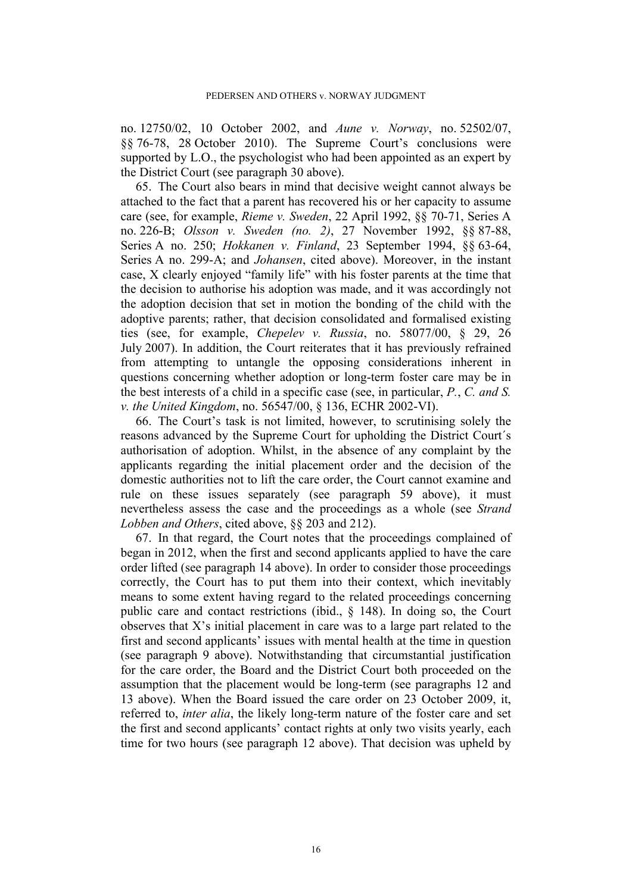no. 12750/02, 10 October 2002, and *Aune v. Norway*, no. 52502/07, §§ 76-78, 28 October 2010). The Supreme Court's conclusions were supported by L.O., the psychologist who had been appointed as an expert by the District Court (see paragraph 30 above).

65. The Court also bears in mind that decisive weight cannot always be attached to the fact that a parent has recovered his or her capacity to assume care (see, for example, *Rieme v. Sweden*, 22 April 1992, §§ 70-71, Series A no. 226-B; *Olsson v. Sweden (no. 2)*, 27 November 1992, §§ 87-88, Series A no. 250; *Hokkanen v. Finland*, 23 September 1994, §§ 63-64, Series A no. 299-A; and *Johansen*, cited above). Moreover, in the instant case, X clearly enjoyed "family life" with his foster parents at the time that the decision to authorise his adoption was made, and it was accordingly not the adoption decision that set in motion the bonding of the child with the adoptive parents; rather, that decision consolidated and formalised existing ties (see, for example, *Chepelev v. Russia*, no. 58077/00, § 29, 26 July 2007). In addition, the Court reiterates that it has previously refrained from attempting to untangle the opposing considerations inherent in questions concerning whether adoption or long-term foster care may be in the best interests of a child in a specific case (see, in particular, *P.*, *C. and S. v. the United Kingdom*, no. 56547/00, § 136, ECHR 2002-VI).

66. The Court's task is not limited, however, to scrutinising solely the reasons advanced by the Supreme Court for upholding the District Court´s authorisation of adoption. Whilst, in the absence of any complaint by the applicants regarding the initial placement order and the decision of the domestic authorities not to lift the care order, the Court cannot examine and rule on these issues separately (see paragraph 59 above), it must nevertheless assess the case and the proceedings as a whole (see *Strand Lobben and Others*, cited above, §§ 203 and 212).

67. In that regard, the Court notes that the proceedings complained of began in 2012, when the first and second applicants applied to have the care order lifted (see paragraph 14 above). In order to consider those proceedings correctly, the Court has to put them into their context, which inevitably means to some extent having regard to the related proceedings concerning public care and contact restrictions (ibid., § 148). In doing so, the Court observes that X's initial placement in care was to a large part related to the first and second applicants' issues with mental health at the time in question (see paragraph 9 above). Notwithstanding that circumstantial justification for the care order, the Board and the District Court both proceeded on the assumption that the placement would be long-term (see paragraphs 12 and 13 above). When the Board issued the care order on 23 October 2009, it, referred to, *inter alia*, the likely long-term nature of the foster care and set the first and second applicants' contact rights at only two visits yearly, each time for two hours (see paragraph 12 above). That decision was upheld by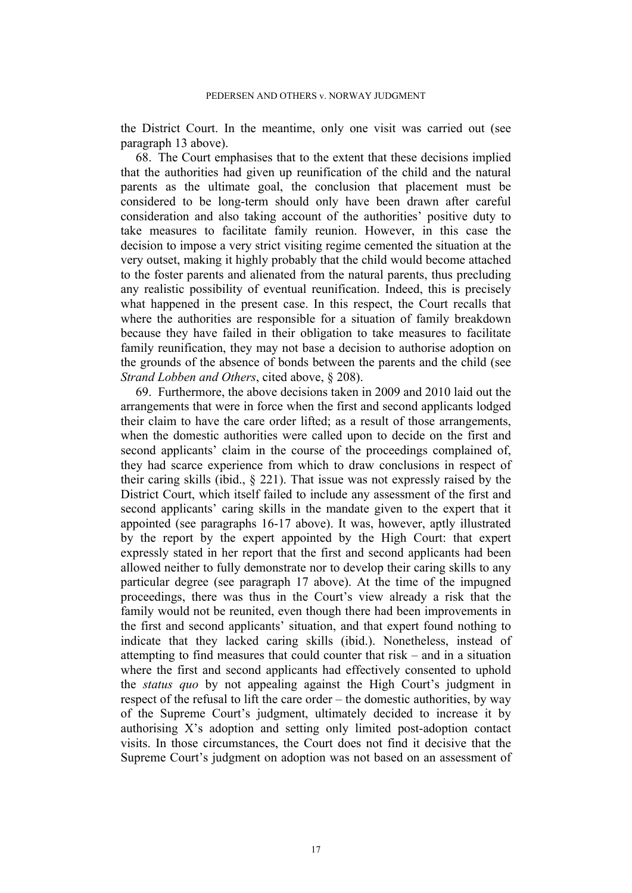the District Court. In the meantime, only one visit was carried out (see paragraph 13 above).

68. The Court emphasises that to the extent that these decisions implied that the authorities had given up reunification of the child and the natural parents as the ultimate goal, the conclusion that placement must be considered to be long-term should only have been drawn after careful consideration and also taking account of the authorities' positive duty to take measures to facilitate family reunion. However, in this case the decision to impose a very strict visiting regime cemented the situation at the very outset, making it highly probably that the child would become attached to the foster parents and alienated from the natural parents, thus precluding any realistic possibility of eventual reunification. Indeed, this is precisely what happened in the present case. In this respect, the Court recalls that where the authorities are responsible for a situation of family breakdown because they have failed in their obligation to take measures to facilitate family reunification, they may not base a decision to authorise adoption on the grounds of the absence of bonds between the parents and the child (see *Strand Lobben and Others*, cited above, § 208).

69. Furthermore, the above decisions taken in 2009 and 2010 laid out the arrangements that were in force when the first and second applicants lodged their claim to have the care order lifted; as a result of those arrangements, when the domestic authorities were called upon to decide on the first and second applicants' claim in the course of the proceedings complained of, they had scarce experience from which to draw conclusions in respect of their caring skills (ibid., § 221). That issue was not expressly raised by the District Court, which itself failed to include any assessment of the first and second applicants' caring skills in the mandate given to the expert that it appointed (see paragraphs 16-17 above). It was, however, aptly illustrated by the report by the expert appointed by the High Court: that expert expressly stated in her report that the first and second applicants had been allowed neither to fully demonstrate nor to develop their caring skills to any particular degree (see paragraph 17 above). At the time of the impugned proceedings, there was thus in the Court's view already a risk that the family would not be reunited, even though there had been improvements in the first and second applicants' situation, and that expert found nothing to indicate that they lacked caring skills (ibid.). Nonetheless, instead of attempting to find measures that could counter that risk – and in a situation where the first and second applicants had effectively consented to uphold the *status quo* by not appealing against the High Court's judgment in respect of the refusal to lift the care order – the domestic authorities, by way of the Supreme Court's judgment, ultimately decided to increase it by authorising X's adoption and setting only limited post-adoption contact visits. In those circumstances, the Court does not find it decisive that the Supreme Court's judgment on adoption was not based on an assessment of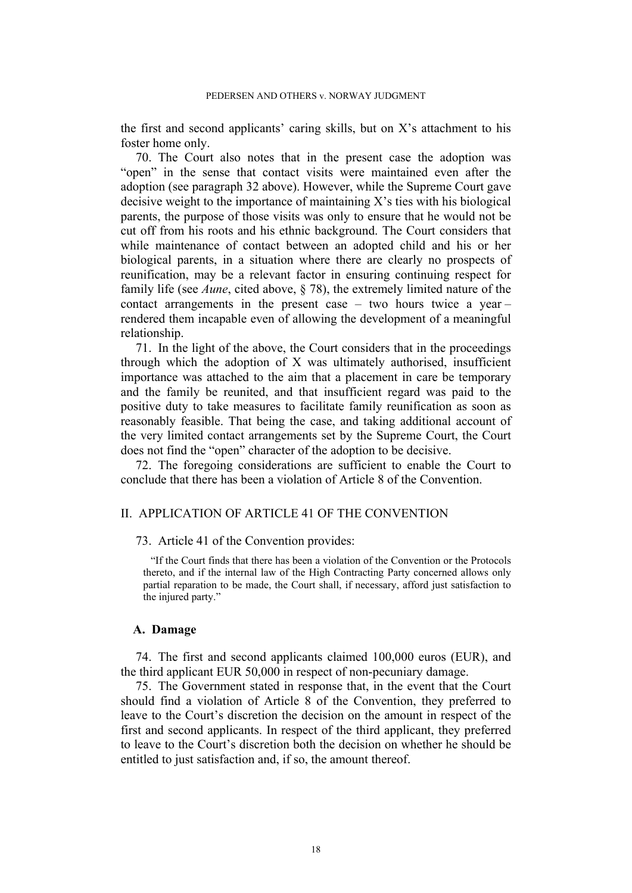the first and second applicants' caring skills, but on X's attachment to his foster home only.

70. The Court also notes that in the present case the adoption was "open" in the sense that contact visits were maintained even after the adoption (see paragraph 32 above). However, while the Supreme Court gave decisive weight to the importance of maintaining X's ties with his biological parents, the purpose of those visits was only to ensure that he would not be cut off from his roots and his ethnic background. The Court considers that while maintenance of contact between an adopted child and his or her biological parents, in a situation where there are clearly no prospects of reunification, may be a relevant factor in ensuring continuing respect for family life (see *Aune*, cited above, § 78), the extremely limited nature of the contact arrangements in the present case – two hours twice a year – rendered them incapable even of allowing the development of a meaningful relationship.

71. In the light of the above, the Court considers that in the proceedings through which the adoption of X was ultimately authorised, insufficient importance was attached to the aim that a placement in care be temporary and the family be reunited, and that insufficient regard was paid to the positive duty to take measures to facilitate family reunification as soon as reasonably feasible. That being the case, and taking additional account of the very limited contact arrangements set by the Supreme Court, the Court does not find the "open" character of the adoption to be decisive.

72. The foregoing considerations are sufficient to enable the Court to conclude that there has been a violation of Article 8 of the Convention.

### II. APPLICATION OF ARTICLE 41 OF THE CONVENTION

73. Article 41 of the Convention provides:

"If the Court finds that there has been a violation of the Convention or the Protocols thereto, and if the internal law of the High Contracting Party concerned allows only partial reparation to be made, the Court shall, if necessary, afford just satisfaction to the injured party."

### **A. Damage**

74. The first and second applicants claimed 100,000 euros (EUR), and the third applicant EUR 50,000 in respect of non-pecuniary damage.

75. The Government stated in response that, in the event that the Court should find a violation of Article 8 of the Convention, they preferred to leave to the Court's discretion the decision on the amount in respect of the first and second applicants. In respect of the third applicant, they preferred to leave to the Court's discretion both the decision on whether he should be entitled to just satisfaction and, if so, the amount thereof.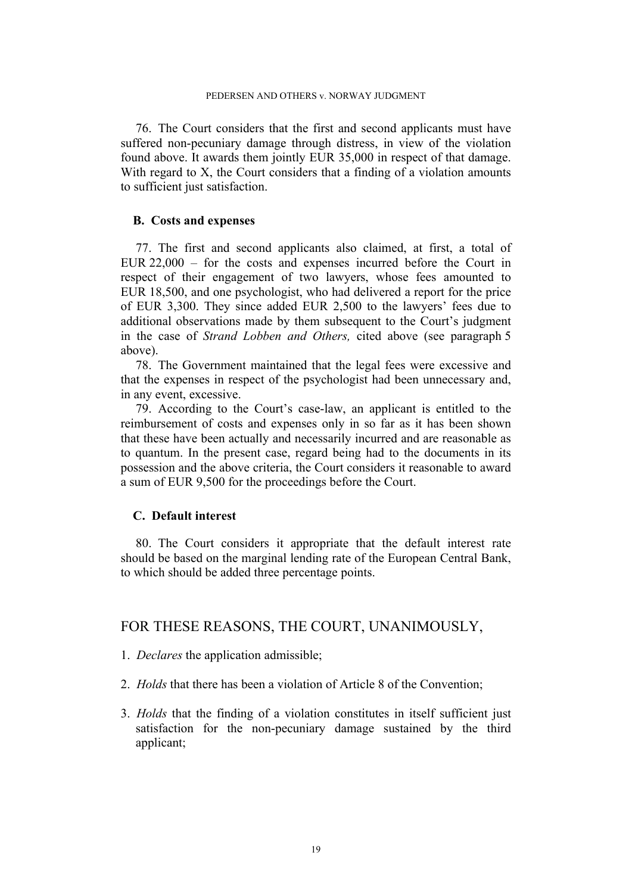76. The Court considers that the first and second applicants must have suffered non-pecuniary damage through distress, in view of the violation found above. It awards them jointly EUR 35,000 in respect of that damage. With regard to X, the Court considers that a finding of a violation amounts to sufficient just satisfaction.

## **B. Costs and expenses**

77. The first and second applicants also claimed, at first, a total of EUR 22,000 – for the costs and expenses incurred before the Court in respect of their engagement of two lawyers, whose fees amounted to EUR 18,500, and one psychologist, who had delivered a report for the price of EUR 3,300. They since added EUR 2,500 to the lawyers' fees due to additional observations made by them subsequent to the Court's judgment in the case of *Strand Lobben and Others,* cited above (see paragraph 5 above).

78. The Government maintained that the legal fees were excessive and that the expenses in respect of the psychologist had been unnecessary and, in any event, excessive.

79. According to the Court's case-law, an applicant is entitled to the reimbursement of costs and expenses only in so far as it has been shown that these have been actually and necessarily incurred and are reasonable as to quantum. In the present case, regard being had to the documents in its possession and the above criteria, the Court considers it reasonable to award a sum of EUR 9,500 for the proceedings before the Court.

## **C. Default interest**

80. The Court considers it appropriate that the default interest rate should be based on the marginal lending rate of the European Central Bank, to which should be added three percentage points.

# FOR THESE REASONS, THE COURT, UNANIMOUSLY,

- 1. *Declares* the application admissible;
- 2. *Holds* that there has been a violation of Article 8 of the Convention;
- 3. *Holds* that the finding of a violation constitutes in itself sufficient just satisfaction for the non-pecuniary damage sustained by the third applicant;